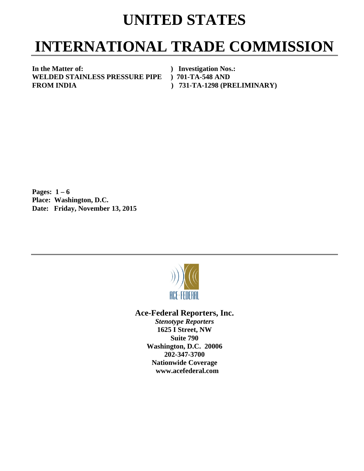## **UNITED STATES**

## **INTERNATIONAL TRADE COMMISSION**

**In the Matter of:** ) Investigation Nos.:<br>
WELDED STAINLESS PRESSURE PIPE ) 701-TA-548 AND **WELDED STAINLESS PRESSURE PIPE FROM INDIA ) 731-TA-1298 (PRELIMINARY)** 

**Pages: 1 – 6** **Place: Washington, D.C. Date: Friday, November 13, 2015** 



**Ace-Federal Reporters, Inc.** 

*Stenotype Reporters*  **1625 I Street, NW Suite 790 Washington, D.C. 20006 202-347-3700 Nationwide Coverage www.acefederal.com**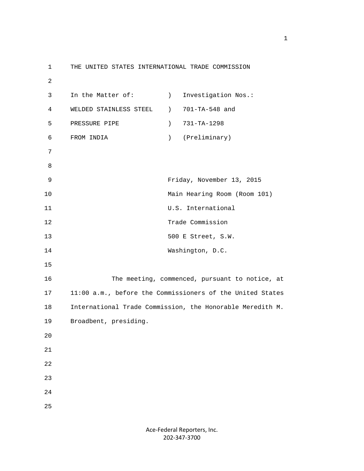1 THE UNITED STATES INTERNATIONAL TRADE COMMISSION 2 3 In the Matter of: (a) Investigation Nos.: 4 WELDED STAINLESS STEEL ) 701-TA-548 and 5 PRESSURE PIPE ) 731-TA-1298 6 FROM INDIA ) (Preliminary) 7 8 9 Friday, November 13, 2015 10 Main Hearing Room (Room 101) 11 U.S. International 12 Trade Commission 13 500 E Street, S.W. 14 Washington, D.C. 15 16 The meeting, commenced, pursuant to notice, at 17 11:00 a.m., before the Commissioners of the United States 18 International Trade Commission, the Honorable Meredith M. 19 Broadbent, presiding. 20 21 22 23 24 25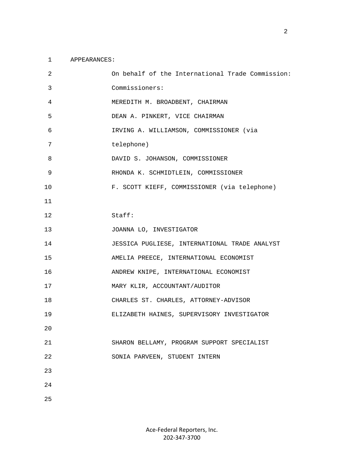## 1 APPEARANCES:

| 2  | On behalf of the International Trade Commission: |
|----|--------------------------------------------------|
| 3  | Commissioners:                                   |
| 4  | MEREDITH M. BROADBENT, CHAIRMAN                  |
| 5  | DEAN A. PINKERT, VICE CHAIRMAN                   |
| 6  | IRVING A. WILLIAMSON, COMMISSIONER (via          |
| 7  | telephone)                                       |
| 8  | DAVID S. JOHANSON, COMMISSIONER                  |
| 9  | RHONDA K. SCHMIDTLEIN, COMMISSIONER              |
| 10 | F. SCOTT KIEFF, COMMISSIONER (via telephone)     |
| 11 |                                                  |
| 12 | Staff:                                           |
| 13 | JOANNA LO, INVESTIGATOR                          |
| 14 | JESSICA PUGLIESE, INTERNATIONAL TRADE ANALYST    |
| 15 | AMELIA PREECE, INTERNATIONAL ECONOMIST           |
| 16 | ANDREW KNIPE, INTERNATIONAL ECONOMIST            |
| 17 | MARY KLIR, ACCOUNTANT/AUDITOR                    |
| 18 | CHARLES ST. CHARLES, ATTORNEY-ADVISOR            |
| 19 | ELIZABETH HAINES, SUPERVISORY INVESTIGATOR       |
| 20 |                                                  |
| 21 | SHARON BELLAMY, PROGRAM SUPPORT SPECIALIST       |
| 22 | SONIA PARVEEN, STUDENT INTERN                    |
| 23 |                                                  |
| 24 |                                                  |
| 25 |                                                  |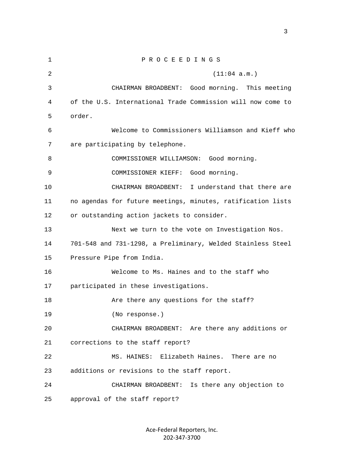| 1  | PROCEEDINGS                                                 |
|----|-------------------------------------------------------------|
| 2  | (11:04 a.m.)                                                |
| 3  | CHAIRMAN BROADBENT: Good morning. This meeting              |
| 4  | of the U.S. International Trade Commission will now come to |
| 5  | order.                                                      |
| 6  | Welcome to Commissioners Williamson and Kieff who           |
| 7  | are participating by telephone.                             |
| 8  | COMMISSIONER WILLIAMSON: Good morning.                      |
| 9  | COMMISSIONER KIEFF:<br>Good morning.                        |
| 10 | CHAIRMAN BROADBENT:<br>I understand that there are          |
| 11 | no agendas for future meetings, minutes, ratification lists |
| 12 | or outstanding action jackets to consider.                  |
| 13 | Next we turn to the vote on Investigation Nos.              |
| 14 | 701-548 and 731-1298, a Preliminary, Welded Stainless Steel |
| 15 | Pressure Pipe from India.                                   |
| 16 | Welcome to Ms. Haines and to the staff who                  |
| 17 | participated in these investigations.                       |
| 18 | Are there any questions for the staff?                      |
| 19 | (No response.)                                              |
| 20 | CHAIRMAN BROADBENT: Are there any additions or              |
| 21 | corrections to the staff report?                            |
| 22 | Elizabeth Haines. There are no<br>MS. HAINES:               |
| 23 | additions or revisions to the staff report.                 |
| 24 | CHAIRMAN BROADBENT: Is there any objection to               |
| 25 | approval of the staff report?                               |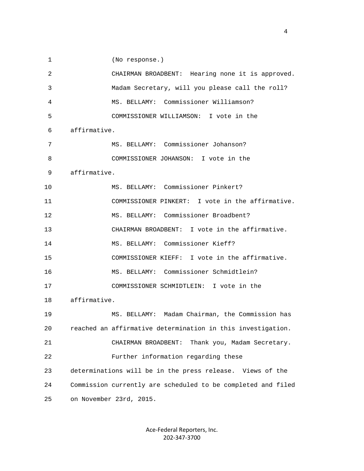1 (No response.) 2 CHAIRMAN BROADBENT: Hearing none it is approved. 3 Madam Secretary, will you please call the roll? 4 MS. BELLAMY: Commissioner Williamson? 5 COMMISSIONER WILLIAMSON: I vote in the 6 affirmative. 7 MS. BELLAMY: Commissioner Johanson? 8 COMMISSIONER JOHANSON: I vote in the 9 affirmative. 10 MS. BELLAMY: Commissioner Pinkert? 11 COMMISSIONER PINKERT: I vote in the affirmative. 12 MS. BELLAMY: Commissioner Broadbent? 13 CHAIRMAN BROADBENT: I vote in the affirmative. 14 MS. BELLAMY: Commissioner Kieff? 15 COMMISSIONER KIEFF: I vote in the affirmative. 16 MS. BELLAMY: Commissioner Schmidtlein? 17 COMMISSIONER SCHMIDTLEIN: I vote in the 18 affirmative. 19 MS. BELLAMY: Madam Chairman, the Commission has 20 reached an affirmative determination in this investigation. 21 CHAIRMAN BROADBENT: Thank you, Madam Secretary. 22 Further information regarding these 23 determinations will be in the press release. Views of the 24 Commission currently are scheduled to be completed and filed 25 on November 23rd, 2015.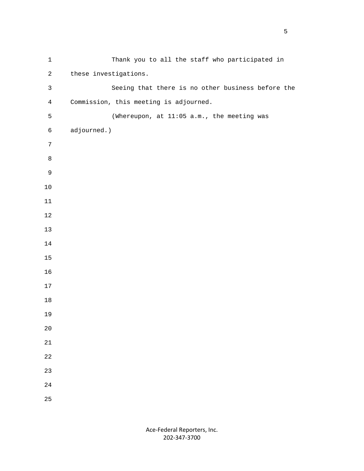| $\mathbf 1$    | Thank you to all the staff who participated in    |
|----------------|---------------------------------------------------|
| $\overline{a}$ | these investigations.                             |
| $\mathsf{3}$   | Seeing that there is no other business before the |
| $\overline{4}$ | Commission, this meeting is adjourned.            |
| 5              | (Whereupon, at 11:05 a.m., the meeting was        |
| $\epsilon$     | adjourned.)                                       |
| 7              |                                                   |
| $\,8\,$        |                                                   |
| $\mathsf 9$    |                                                   |
| $10$           |                                                   |
| $11\,$         |                                                   |
| $12\,$         |                                                   |
| $13$           |                                                   |
| $14$           |                                                   |
| $15\,$         |                                                   |
| 16             |                                                   |
| $17$           |                                                   |
| $18\,$         |                                                   |
| 19             |                                                   |
| 20             |                                                   |
| $21\,$         |                                                   |
| 22             |                                                   |
| 23             |                                                   |
| 24             |                                                   |
| 25             |                                                   |